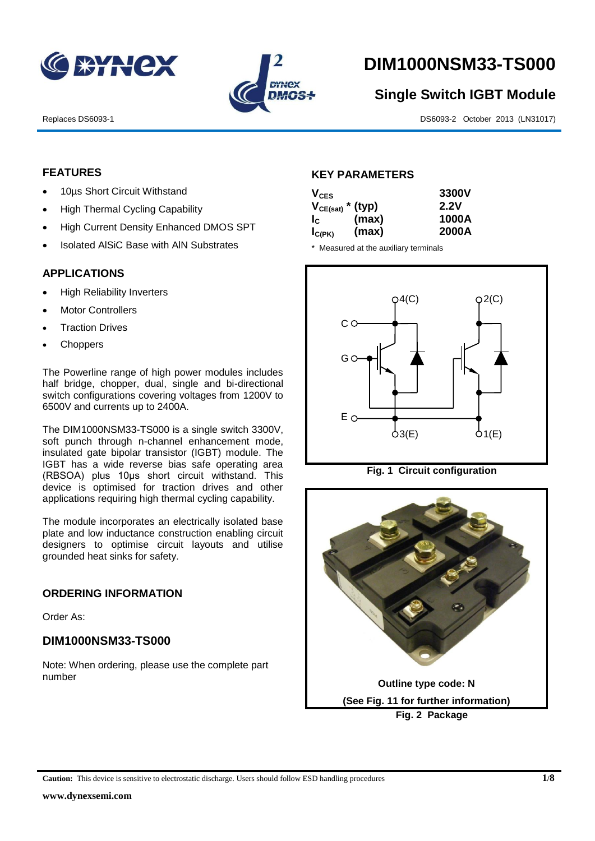



# **DIM1000NSM33-TS000**

# **Single Switch IGBT Module**

Replaces DS6093-1 DS6093-2 October 2013 (LN31017)

## **FEATURES**

- 10µs Short Circuit Withstand
- High Thermal Cycling Capability
- High Current Density Enhanced DMOS SPT
- Isolated AlSiC Base with AlN Substrates

#### **APPLICATIONS**

- High Reliability Inverters
- Motor Controllers
- Traction Drives
- **Choppers**

The Powerline range of high power modules includes half bridge, chopper, dual, single and bi-directional switch configurations covering voltages from 1200V to 6500V and currents up to 2400A.

The DIM1000NSM33-TS000 is a single switch 3300V, soft punch through n-channel enhancement mode, insulated gate bipolar transistor (IGBT) module. The IGBT has a wide reverse bias safe operating area (RBSOA) plus 10μs short circuit withstand. This device is optimised for traction drives and other applications requiring high thermal cycling capability.

The module incorporates an electrically isolated base plate and low inductance construction enabling circuit designers to optimise circuit layouts and utilise grounded heat sinks for safety.

#### **ORDERING INFORMATION**

Order As:

## **DIM1000NSM33-TS000**

Note: When ordering, please use the complete part number

#### **KEY PARAMETERS**

| $V_{CES}$             |       | 3300V |
|-----------------------|-------|-------|
| $V_{CE(sat)}$ * (typ) |       | 2.2V  |
| $I_{\rm c}$           | (max) | 1000A |
| $I_{C(PK)}$           | (max) | 2000A |

\* Measured at the auxiliary terminals



**Fig. 1 Circuit configuration**

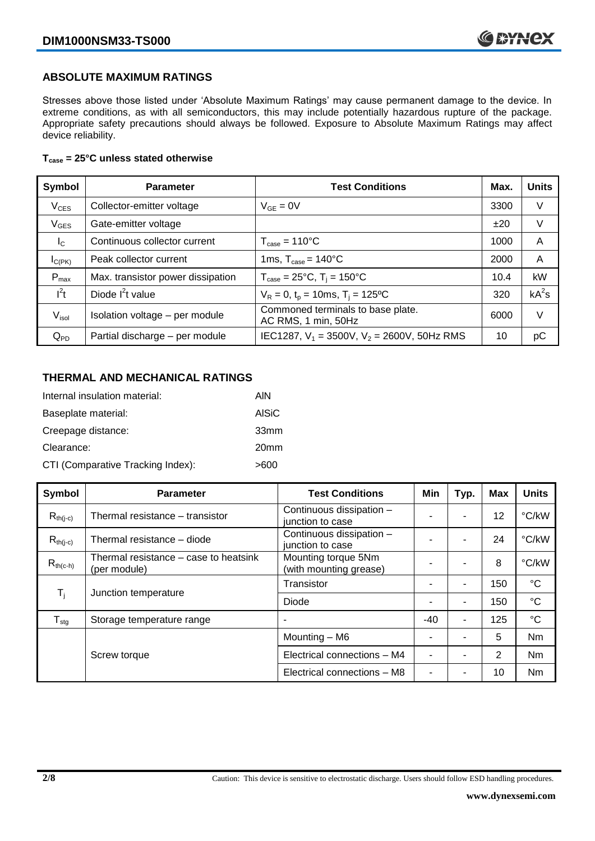## **ABSOLUTE MAXIMUM RATINGS**

Stresses above those listed under 'Absolute Maximum Ratings' may cause permanent damage to the device. In extreme conditions, as with all semiconductors, this may include potentially hazardous rupture of the package. Appropriate safety precautions should always be followed. Exposure to Absolute Maximum Ratings may affect device reliability.

#### **Tcase = 25°C unless stated otherwise**

| Symbol           | <b>Parameter</b>                  | <b>Test Conditions</b>                                   | Max. | <b>Units</b> |
|------------------|-----------------------------------|----------------------------------------------------------|------|--------------|
| $V_{CES}$        | Collector-emitter voltage         | $V_{GF} = 0V$                                            | 3300 | V            |
| $V_{GES}$        | Gate-emitter voltage              |                                                          | ±20  | V            |
| $I_{\rm C}$      | Continuous collector current      | $T_{\text{case}} = 110^{\circ}C$                         | 1000 | A            |
| $I_{C(PK)}$      | Peak collector current            | 1ms, $T_{\text{case}} = 140^{\circ}$ C                   | 2000 | A            |
| $P_{\text{max}}$ | Max. transistor power dissipation | $T_{\text{case}} = 25^{\circ}C$ , $T_i = 150^{\circ}C$   | 10.4 | kW           |
| $l^2t$           | Diode $I^2t$ value                | $V_R = 0$ , $t_p = 10$ ms, $T_i = 125$ <sup>o</sup> C    | 320  | $kA^2s$      |
| $V_{\sf isol}$   | Isolation voltage - per module    | Commoned terminals to base plate.<br>AC RMS, 1 min, 50Hz | 6000 | V            |
| $Q_{PD}$         | Partial discharge - per module    | IEC1287, $V_1 = 3500V$ , $V_2 = 2600V$ , 50Hz RMS        | 10   | рC           |

## **THERMAL AND MECHANICAL RATINGS**

| Internal insulation material:     | AIN              |
|-----------------------------------|------------------|
| Baseplate material:               | <b>AISiC</b>     |
| Creepage distance:                | 33mm             |
| Clearance:                        | 20 <sub>mm</sub> |
| CTI (Comparative Tracking Index): | >600             |

| Symbol           | <b>Parameter</b>                                      | <b>Test Conditions</b>                        | Min   | Typ. | <b>Max</b> | <b>Units</b>    |
|------------------|-------------------------------------------------------|-----------------------------------------------|-------|------|------------|-----------------|
| $R_{th(j-c)}$    | Thermal resistance - transistor                       | Continuous dissipation -<br>junction to case  |       |      | 12         | °C/kW           |
| $R_{th(i-c)}$    | Thermal resistance - diode                            | Continuous dissipation -<br>junction to case  |       | ٠    | 24         | °C/kW           |
| $R_{th(c-h)}$    | Thermal resistance – case to heatsink<br>(per module) | Mounting torque 5Nm<br>(with mounting grease) |       |      | 8          | °C/kW           |
| $T_i$            | Junction temperature                                  | Transistor                                    |       | ۰    | 150        | $^{\circ}C$     |
|                  |                                                       | Diode                                         |       | ۰    | 150        | $^{\circ}C$     |
| $T_{\text{stg}}$ | Storage temperature range                             |                                               | $-40$ | ۰    | 125        | $\rm ^{\circ}C$ |
|                  |                                                       | Mounting - M6                                 |       |      | 5          | Nm              |
|                  | Screw torque                                          | Electrical connections - M4                   |       |      | 2          | <b>Nm</b>       |
|                  |                                                       | Electrical connections - M8                   |       |      | 10         | Nm              |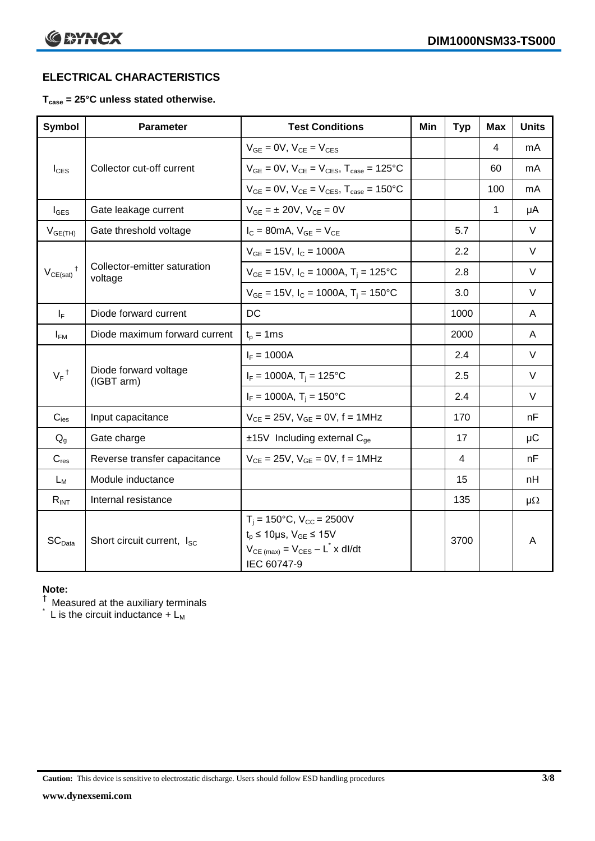# **ELECTRICAL CHARACTERISTICS**

#### **Tcase = 25°C unless stated otherwise.**

| <b>Symbol</b>      | <b>Parameter</b>                        | <b>Test Conditions</b>                                                                                                                                 | Min | <b>Typ</b> | Max | <b>Units</b> |
|--------------------|-----------------------------------------|--------------------------------------------------------------------------------------------------------------------------------------------------------|-----|------------|-----|--------------|
|                    |                                         | $V_{GE} = 0V$ , $V_{CE} = V_{CES}$                                                                                                                     |     |            | 4   | mA           |
| $I_{\text{CES}}$   | Collector cut-off current               | $V_{GE} = 0V$ , $V_{CE} = V_{CES}$ , $T_{case} = 125$ °C                                                                                               |     |            | 60  | mA           |
|                    |                                         | $V_{GE}$ = 0V, $V_{CE}$ = $V_{CES}$ , $T_{case}$ = 150°C                                                                                               |     |            | 100 | mA           |
| $I_{\text{GES}}$   | Gate leakage current                    | $V_{GE} = \pm 20V$ , $V_{CE} = 0V$                                                                                                                     |     |            | 1   | μA           |
| $V_{GE(TH)}$       | Gate threshold voltage                  | $I_C = 80$ mA, $V_{GE} = V_{CE}$                                                                                                                       |     | 5.7        |     | $\vee$       |
|                    |                                         | $V_{GE}$ = 15V, $I_C$ = 1000A                                                                                                                          |     | 2.2        |     | $\vee$       |
| $V_{CE(sat)}$      | Collector-emitter saturation<br>voltage | $V_{GE}$ = 15V, $I_C$ = 1000A, T <sub>i</sub> = 125°C                                                                                                  |     | 2.8        |     | $\vee$       |
|                    |                                         | $V_{GE}$ = 15V, $I_C$ = 1000A, $T_i$ = 150°C                                                                                                           |     | 3.0        |     | $\vee$       |
| $I_F$              | Diode forward current                   | DC                                                                                                                                                     |     | 1000       |     | A            |
| $I_{FM}$           | Diode maximum forward current           | $t_p = 1$ ms                                                                                                                                           |     | 2000       |     | A            |
|                    | Diode forward voltage<br>(IGBT arm)     | $I_F = 1000A$                                                                                                                                          |     | 2.4        |     | $\vee$       |
| $V_F$ <sup>†</sup> |                                         | $I_F = 1000A$ , $T_i = 125^{\circ}C$                                                                                                                   |     | 2.5        |     | $\vee$       |
|                    |                                         | $I_F = 1000A$ , $T_i = 150^{\circ}C$                                                                                                                   |     | 2.4        |     | $\vee$       |
| $C_{\text{ies}}$   | Input capacitance                       | $V_{CE} = 25V$ , $V_{GE} = 0V$ , $f = 1MHz$                                                                                                            |     | 170        |     | nF           |
| $Q_{q}$            | Gate charge                             | $±15V$ Including external C <sub>ge</sub>                                                                                                              |     | 17         |     | $\mu$ C      |
| $C_{res}$          | Reverse transfer capacitance            | $V_{CE} = 25V$ , $V_{GE} = 0V$ , $f = 1MHz$                                                                                                            |     | 4          |     | nF           |
| $L_M$              | Module inductance                       |                                                                                                                                                        |     | 15         |     | nH           |
| $R_{INT}$          | Internal resistance                     |                                                                                                                                                        |     | 135        |     | $\mu\Omega$  |
| SC <sub>Data</sub> | Short circuit current, I <sub>SC</sub>  | $T_i = 150^{\circ}C$ , $V_{CC} = 2500V$<br>$t_p \le 10 \mu s$ , $V_{GE} \le 15V$<br>$V_{CE \text{ (max)}} = V_{CES} - L^* \times dl/dt$<br>IEC 60747-9 |     | 3700       |     | A            |

#### **Note:**

 $^\dagger$  Measured at the auxiliary terminals

 $\check{}$  L is the circuit inductance + L<sub>M</sub>

**Caution:** This device is sensitive to electrostatic discharge. Users should follow ESD handling procedures **3/8**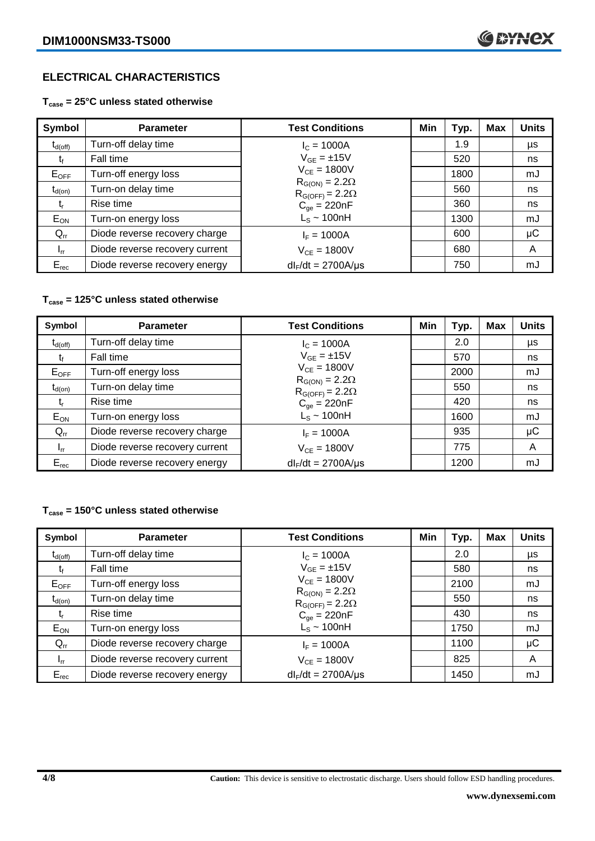# **ELECTRICAL CHARACTERISTICS**

**Tcase = 25°C unless stated otherwise**

| Symbol       | <b>Parameter</b>               | <b>Test Conditions</b>                              | Min | Typ. | Max | <b>Units</b> |
|--------------|--------------------------------|-----------------------------------------------------|-----|------|-----|--------------|
| $t_{d(off)}$ | Turn-off delay time            | $I_c = 1000A$                                       |     | 1.9  |     | μs           |
| t            | Fall time                      | $V_{GE} = \pm 15V$                                  |     | 520  |     | ns           |
| $E_{OFF}$    | Turn-off energy loss           | $V_{CE} = 1800V$                                    |     | 1800 |     | mJ           |
| $t_{d(on)}$  | Turn-on delay time             | $R_{G(ON)} = 2.2\Omega$<br>$R_{G(OFF)} = 2.2\Omega$ |     | 560  |     | ns           |
| t,           | Rise time                      | $C_{\text{qe}} = 220nF$                             |     | 360  |     | ns           |
| $E_{ON}$     | Turn-on energy loss            | $L_s \sim 100nH$                                    |     | 1300 |     | mJ           |
| $Q_{rr}$     | Diode reverse recovery charge  | $I_F = 1000A$                                       |     | 600  |     | $\mu$ C      |
| $I_{rr}$     | Diode reverse recovery current | $V_{CF} = 1800V$                                    |     | 680  |     | A            |
| $E_{rec}$    | Diode reverse recovery energy  | $dl_F/dt = 2700A/\mu s$                             |     | 750  |     | mJ           |

#### **Tcase = 125°C unless stated otherwise**

| Symbol              | <b>Parameter</b>               | <b>Test Conditions</b>                              | Min | Typ. | <b>Max</b> | <b>Units</b> |
|---------------------|--------------------------------|-----------------------------------------------------|-----|------|------------|--------------|
| $t_{d(\text{off})}$ | Turn-off delay time            | $I_c = 1000A$                                       |     | 2.0  |            | μs           |
| τ,                  | Fall time                      | $V_{GF} = \pm 15V$                                  |     | 570  |            | ns           |
| $E_{OFF}$           | Turn-off energy loss           | $V_{CE} = 1800V$                                    |     | 2000 |            | mJ           |
| $t_{d(on)}$         | Turn-on delay time             | $R_{G(ON)} = 2.2\Omega$<br>$R_{G(OFF)} = 2.2\Omega$ |     | 550  |            | ns           |
| t,                  | Rise time                      | $C_{qe} = 220nF$                                    |     | 420  |            | ns           |
| $E_{ON}$            | Turn-on energy loss            | $L_s \sim 100nH$                                    |     | 1600 |            | mJ           |
| $Q_{rr}$            | Diode reverse recovery charge  | $I_F = 1000A$                                       |     | 935  |            | μC           |
| $I_{rr}$            | Diode reverse recovery current | $V_{CE} = 1800V$                                    |     | 775  |            | A            |
| $E_{rec}$           | Diode reverse recovery energy  | $dl_F/dt = 2700A/\mu s$                             |     | 1200 |            | mJ           |

#### **Tcase = 150°C unless stated otherwise**

| Symbol              | <b>Parameter</b>               | <b>Test Conditions</b>                              | Min | Typ. | Max | <b>Units</b> |
|---------------------|--------------------------------|-----------------------------------------------------|-----|------|-----|--------------|
| $t_{d(\text{off})}$ | Turn-off delay time            | $I_c = 1000A$                                       |     | 2.0  |     | μs           |
| t                   | Fall time                      | $V_{GE} = \pm 15V$                                  |     | 580  |     | ns           |
| $E_{OFF}$           | Turn-off energy loss           | $V_{CE} = 1800V$                                    |     | 2100 |     | mJ           |
| $t_{d(on)}$         | Turn-on delay time             | $R_{G(ON)} = 2.2\Omega$<br>$R_{G(OFF)} = 2.2\Omega$ |     | 550  |     | ns           |
| t,                  | Rise time                      | $C_{qe} = 220nF$                                    |     | 430  |     | ns           |
| $E_{ON}$            | Turn-on energy loss            | $L_s \sim 100$ nH                                   |     | 1750 |     | mJ           |
| $Q_{rr}$            | Diode reverse recovery charge  | $I_F = 1000A$                                       |     | 1100 |     | μC           |
| $I_{rr}$            | Diode reverse recovery current | $V_{CF} = 1800V$                                    |     | 825  |     | A            |
| $E_{rec}$           | Diode reverse recovery energy  | $dl_F/dt = 2700A/\mu s$                             |     | 1450 |     | mJ           |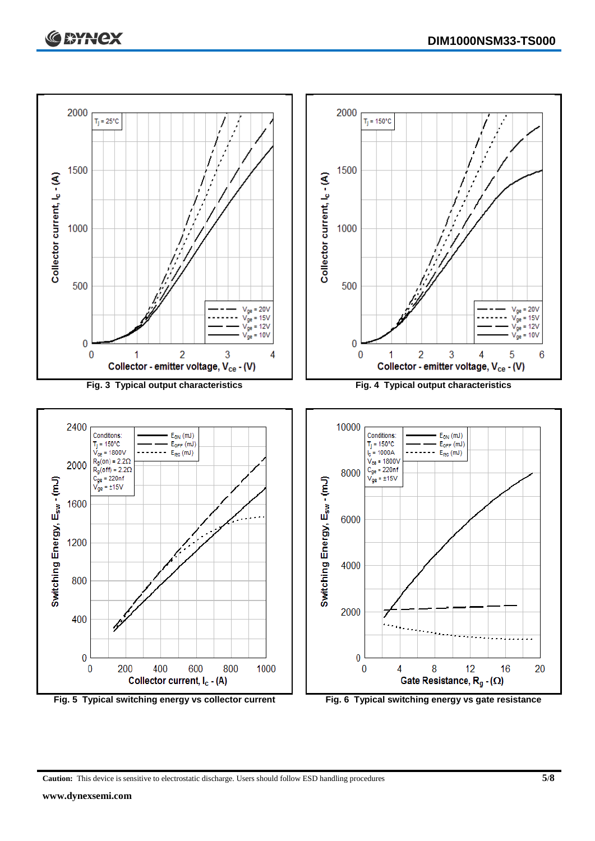

**Caution:** This device is sensitive to electrostatic discharge. Users should follow ESD handling procedures **5/8**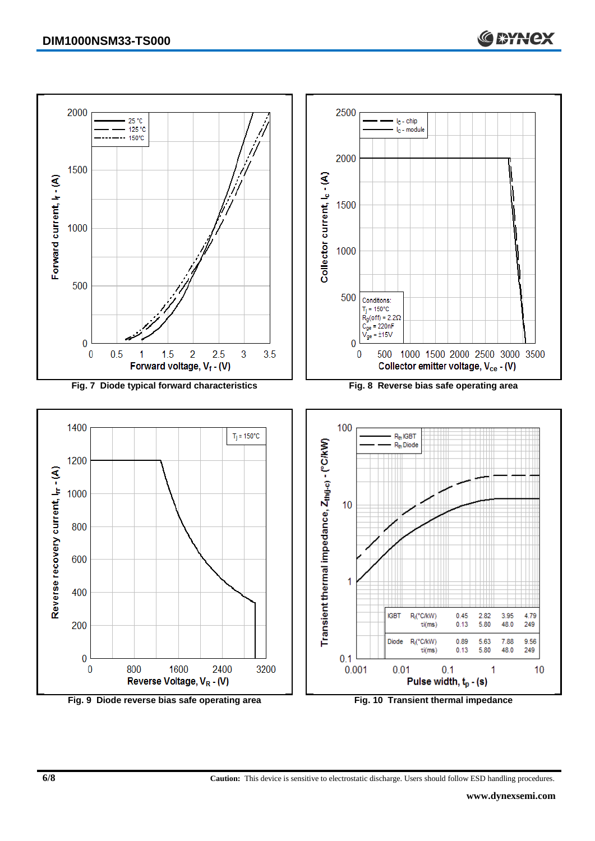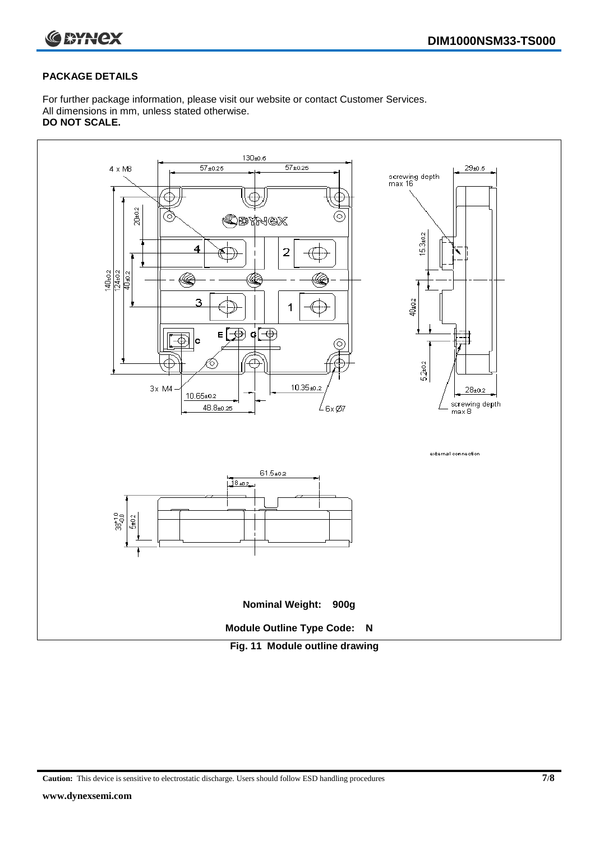



#### **PACKAGE DETAILS**

For further package information, please visit our website or contact Customer Services. All dimensions in mm, unless stated otherwise. **DO NOT SCALE.**



**Caution:** This device is sensitive to electrostatic discharge. Users should follow ESD handling procedures **7/8**